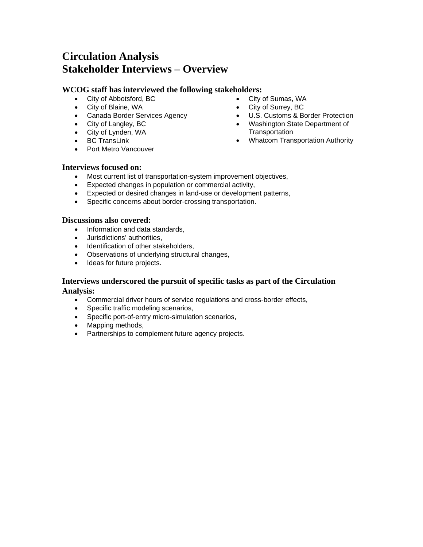# **Circulation Analysis Stakeholder Interviews – Overview**

#### **WCOG staff has interviewed the following stakeholders:**

- City of Sumas, WA
- 
- Canada Border Services Agency
- City of Langley, BC

 City of Abbotsford, BC City of Blaine, WA

- City of Lynden, WA
- BC TransLink
- 
- City of Surrey, BC
- U.S. Customs & Border Protection
- Washington State Department of **Transportation**
- Whatcom Transportation Authority

• Port Metro Vancouver

#### **Interviews focused on:**

- Most current list of transportation-system improvement objectives,
- Expected changes in population or commercial activity,
- Expected or desired changes in land-use or development patterns,
- Specific concerns about border-crossing transportation.

#### **Discussions also covered:**

- Information and data standards.
- Jurisdictions' authorities,
- Identification of other stakeholders,
- Observations of underlying structural changes,
- Ideas for future projects.

#### **Interviews underscored the pursuit of specific tasks as part of the Circulation Analysis:**

- Commercial driver hours of service regulations and cross-border effects,
- Specific traffic modeling scenarios,
- Specific port-of-entry micro-simulation scenarios,
- Mapping methods,
- Partnerships to complement future agency projects.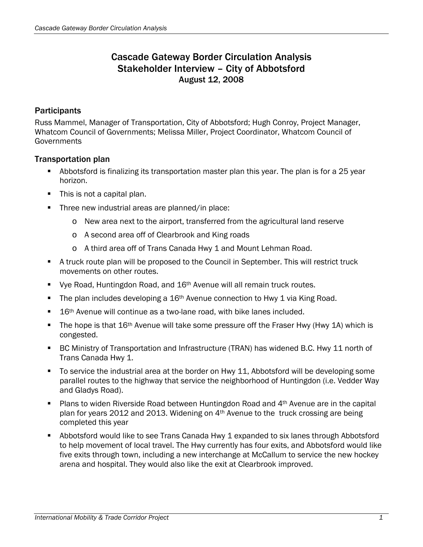## Cascade Gateway Border Circulation Analysis Stakeholder Interview – City of Abbotsford August 12, 2008

#### **Participants**

Russ Mammel, Manager of Transportation, City of Abbotsford; Hugh Conroy, Project Manager, Whatcom Council of Governments; Melissa Miller, Project Coordinator, Whatcom Council of **Governments** 

#### Transportation plan

- Abbotsford is finalizing its transportation master plan this year. The plan is for a 25 year horizon.
- This is not a capital plan.
- Three new industrial areas are planned/in place:
	- o New area next to the airport, transferred from the agricultural land reserve
	- o A second area off of Clearbrook and King roads
	- o A third area off of Trans Canada Hwy 1 and Mount Lehman Road.
- A truck route plan will be proposed to the Council in September. This will restrict truck movements on other routes.
- Vye Road, Huntingdon Road, and 16<sup>th</sup> Avenue will all remain truck routes.
- The plan includes developing a  $16<sup>th</sup>$  Avenue connection to Hwy 1 via King Road.
- 16<sup>th</sup> Avenue will continue as a two-lane road, with bike lanes included.
- The hope is that 16<sup>th</sup> Avenue will take some pressure off the Fraser Hwy (Hwy 1A) which is congested.
- BC Ministry of Transportation and Infrastructure (TRAN) has widened B.C. Hwy 11 north of Trans Canada Hwy 1.
- To service the industrial area at the border on Hwy 11, Abbotsford will be developing some parallel routes to the highway that service the neighborhood of Huntingdon (i.e. Vedder Way and Gladys Road).
- Plans to widen Riverside Road between Huntingdon Road and 4th Avenue are in the capital plan for years 2012 and 2013. Widening on 4th Avenue to the truck crossing are being completed this year
- Abbotsford would like to see Trans Canada Hwy 1 expanded to six lanes through Abbotsford to help movement of local travel. The Hwy currently has four exits, and Abbotsford would like five exits through town, including a new interchange at McCallum to service the new hockey arena and hospital. They would also like the exit at Clearbrook improved.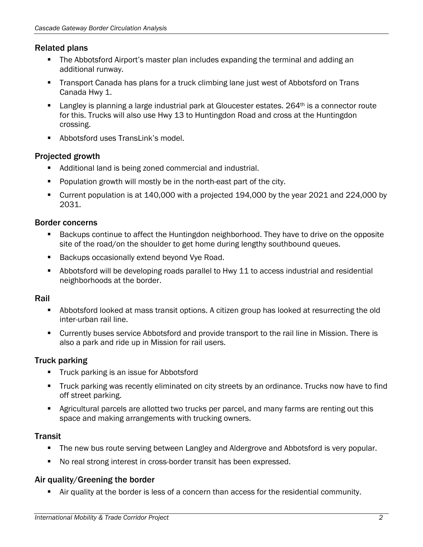#### Related plans

- The Abbotsford Airport's master plan includes expanding the terminal and adding an additional runway.
- Transport Canada has plans for a truck climbing lane just west of Abbotsford on Trans Canada Hwy 1.
- **Langley is planning a large industrial park at Gloucester estates. 264th is a connector route** for this. Trucks will also use Hwy 13 to Huntingdon Road and cross at the Huntingdon crossing.
- Abbotsford uses TransLink's model.

### Projected growth

- Additional land is being zoned commercial and industrial.
- Population growth will mostly be in the north-east part of the city.
- Current population is at 140,000 with a projected 194,000 by the year 2021 and 224,000 by 2031.

### Border concerns

- **Backups continue to affect the Huntingdon neighborhood. They have to drive on the opposite** site of the road/on the shoulder to get home during lengthy southbound queues.
- Backups occasionally extend beyond Vye Road.
- Abbotsford will be developing roads parallel to Hwy 11 to access industrial and residential neighborhoods at the border.

#### Rail

- Abbotsford looked at mass transit options. A citizen group has looked at resurrecting the old inter-urban rail line.
- Currently buses service Abbotsford and provide transport to the rail line in Mission. There is also a park and ride up in Mission for rail users.

### Truck parking

- **Truck parking is an issue for Abbotsford**
- Truck parking was recently eliminated on city streets by an ordinance. Trucks now have to find off street parking.
- Agricultural parcels are allotted two trucks per parcel, and many farms are renting out this space and making arrangements with trucking owners.

### **Transit**

- The new bus route serving between Langley and Aldergrove and Abbotsford is very popular.
- No real strong interest in cross-border transit has been expressed.

### Air quality/Greening the border

Air quality at the border is less of a concern than access for the residential community.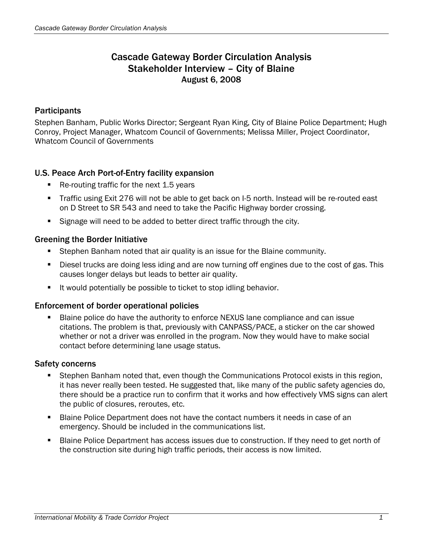## Cascade Gateway Border Circulation Analysis Stakeholder Interview – City of Blaine August 6, 2008

#### **Participants**

Stephen Banham, Public Works Director; Sergeant Ryan King, City of Blaine Police Department; Hugh Conroy, Project Manager, Whatcom Council of Governments; Melissa Miller, Project Coordinator, Whatcom Council of Governments

### U.S. Peace Arch Port-of-Entry facility expansion

- Re-routing traffic for the next 1.5 years
- Traffic using Exit 276 will not be able to get back on I-5 north. Instead will be re-routed east on D Street to SR 543 and need to take the Pacific Highway border crossing.
- Signage will need to be added to better direct traffic through the city.

#### Greening the Border Initiative

- Stephen Banham noted that air quality is an issue for the Blaine community.
- Diesel trucks are doing less iding and are now turning off engines due to the cost of gas. This causes longer delays but leads to better air quality.
- It would potentially be possible to ticket to stop idling behavior.

#### Enforcement of border operational policies

 Blaine police do have the authority to enforce NEXUS lane compliance and can issue citations. The problem is that, previously with CANPASS/PACE, a sticker on the car showed whether or not a driver was enrolled in the program. Now they would have to make social contact before determining lane usage status.

#### Safety concerns

- **Stephen Banham noted that, even though the Communications Protocol exists in this region,** it has never really been tested. He suggested that, like many of the public safety agencies do, there should be a practice run to confirm that it works and how effectively VMS signs can alert the public of closures, reroutes, etc.
- Blaine Police Department does not have the contact numbers it needs in case of an emergency. Should be included in the communications list.
- **Blaine Police Department has access issues due to construction. If they need to get north of** the construction site during high traffic periods, their access is now limited.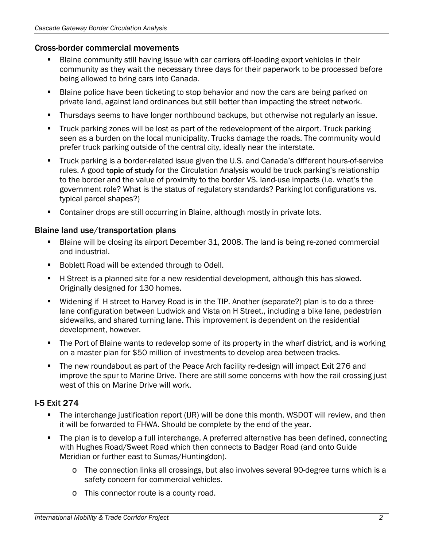#### Cross-border commercial movements

- Blaine community still having issue with car carriers off-loading export vehicles in their community as they wait the necessary three days for their paperwork to be processed before being allowed to bring cars into Canada.
- Blaine police have been ticketing to stop behavior and now the cars are being parked on private land, against land ordinances but still better than impacting the street network.
- Thursdays seems to have longer northbound backups, but otherwise not regularly an issue.
- **Truck parking zones will be lost as part of the redevelopment of the airport. Truck parking** seen as a burden on the local municipality. Trucks damage the roads. The community would prefer truck parking outside of the central city, ideally near the interstate.
- Truck parking is a border-related issue given the U.S. and Canada's different hours-of-service rules. A good topic of study for the Circulation Analysis would be truck parking's relationship to the border and the value of proximity to the border VS. land-use impacts (i.e. what's the government role? What is the status of regulatory standards? Parking lot configurations vs. typical parcel shapes?)
- Container drops are still occurring in Blaine, although mostly in private lots.

### Blaine land use/transportation plans

- Blaine will be closing its airport December 31, 2008. The land is being re-zoned commercial and industrial.
- **Boblett Road will be extended through to Odell.**
- H Street is a planned site for a new residential development, although this has slowed. Originally designed for 130 homes.
- Widening if H street to Harvey Road is in the TIP. Another (separate?) plan is to do a threelane configuration between Ludwick and Vista on H Street., including a bike lane, pedestrian sidewalks, and shared turning lane. This improvement is dependent on the residential development, however.
- The Port of Blaine wants to redevelop some of its property in the wharf district, and is working on a master plan for \$50 million of investments to develop area between tracks.
- The new roundabout as part of the Peace Arch facility re-design will impact Exit 276 and improve the spur to Marine Drive. There are still some concerns with how the rail crossing just west of this on Marine Drive will work.

### I-5 Exit 274

- The interchange justification report (IJR) will be done this month. WSDOT will review, and then it will be forwarded to FHWA. Should be complete by the end of the year.
- The plan is to develop a full interchange. A preferred alternative has been defined, connecting with Hughes Road/Sweet Road which then connects to Badger Road (and onto Guide Meridian or further east to Sumas/Huntingdon).
	- o The connection links all crossings, but also involves several 90-degree turns which is a safety concern for commercial vehicles.
	- o This connector route is a county road.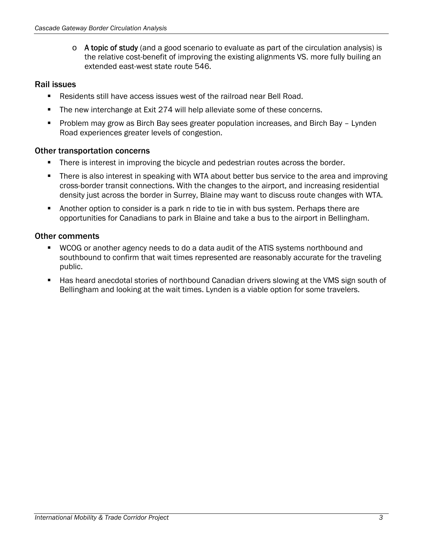$\circ$  A topic of study (and a good scenario to evaluate as part of the circulation analysis) is the relative cost-benefit of improving the existing alignments VS. more fully builing an extended east-west state route 546.

### Rail issues

- Residents still have access issues west of the railroad near Bell Road.
- The new interchange at Exit 274 will help alleviate some of these concerns.
- Problem may grow as Birch Bay sees greater population increases, and Birch Bay Lynden Road experiences greater levels of congestion.

#### Other transportation concerns

- **There is interest in improving the bicycle and pedestrian routes across the border.**
- There is also interest in speaking with WTA about better bus service to the area and improving cross-border transit connections. With the changes to the airport, and increasing residential density just across the border in Surrey, Blaine may want to discuss route changes with WTA.
- **Another option to consider is a park n ride to tie in with bus system. Perhaps there are** opportunities for Canadians to park in Blaine and take a bus to the airport in Bellingham.

### Other comments

- WCOG or another agency needs to do a data audit of the ATIS systems northbound and southbound to confirm that wait times represented are reasonably accurate for the traveling public.
- **Has heard anecdotal stories of northbound Canadian drivers slowing at the VMS sign south of** Bellingham and looking at the wait times. Lynden is a viable option for some travelers.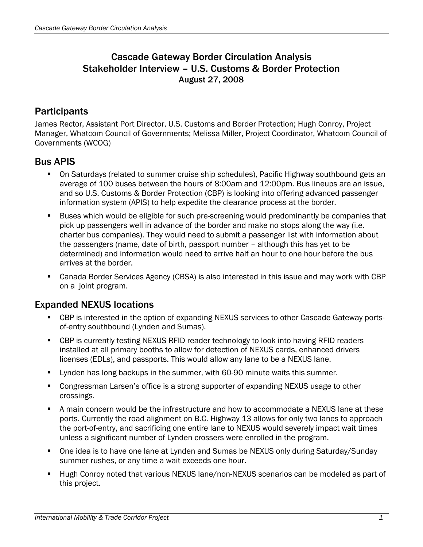## Cascade Gateway Border Circulation Analysis Stakeholder Interview – U.S. Customs & Border Protection August 27, 2008

## **Participants**

James Rector, Assistant Port Director, U.S. Customs and Border Protection; Hugh Conroy, Project Manager, Whatcom Council of Governments; Melissa Miller, Project Coordinator, Whatcom Council of Governments (WCOG)

## Bus APIS

- On Saturdays (related to summer cruise ship schedules), Pacific Highway southbound gets an average of 100 buses between the hours of 8:00am and 12:00pm. Bus lineups are an issue, and so U.S. Customs & Border Protection (CBP) is looking into offering advanced passenger information system (APIS) to help expedite the clearance process at the border.
- **Buses which would be eligible for such pre-screening would predominantly be companies that** pick up passengers well in advance of the border and make no stops along the way (i.e. charter bus companies). They would need to submit a passenger list with information about the passengers (name, date of birth, passport number – although this has yet to be determined) and information would need to arrive half an hour to one hour before the bus arrives at the border.
- Canada Border Services Agency (CBSA) is also interested in this issue and may work with CBP on a joint program.

## Expanded NEXUS locations

- CBP is interested in the option of expanding NEXUS services to other Cascade Gateway portsof-entry southbound (Lynden and Sumas).
- CBP is currently testing NEXUS RFID reader technology to look into having RFID readers installed at all primary booths to allow for detection of NEXUS cards, enhanced drivers licenses (EDLs), and passports. This would allow any lane to be a NEXUS lane.
- **Uynden has long backups in the summer, with 60-90 minute waits this summer.**
- Congressman Larsen's office is a strong supporter of expanding NEXUS usage to other crossings.
- A main concern would be the infrastructure and how to accommodate a NEXUS lane at these ports. Currently the road alignment on B.C. Highway 13 allows for only two lanes to approach the port-of-entry, and sacrificing one entire lane to NEXUS would severely impact wait times unless a significant number of Lynden crossers were enrolled in the program.
- One idea is to have one lane at Lynden and Sumas be NEXUS only during Saturday/Sunday summer rushes, or any time a wait exceeds one hour.
- Hugh Conroy noted that various NEXUS lane/non-NEXUS scenarios can be modeled as part of this project.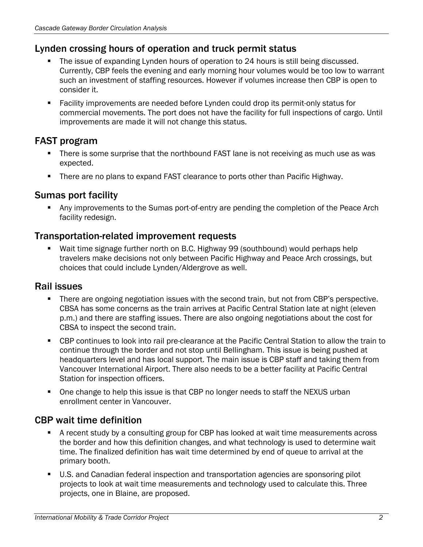## Lynden crossing hours of operation and truck permit status

- The issue of expanding Lynden hours of operation to 24 hours is still being discussed. Currently, CBP feels the evening and early morning hour volumes would be too low to warrant such an investment of staffing resources. However if volumes increase then CBP is open to consider it.
- Facility improvements are needed before Lynden could drop its permit-only status for commercial movements. The port does not have the facility for full inspections of cargo. Until improvements are made it will not change this status.

# FAST program

- There is some surprise that the northbound FAST lane is not receiving as much use as was expected.
- There are no plans to expand FAST clearance to ports other than Pacific Highway.

## Sumas port facility

 Any improvements to the Sumas port-of-entry are pending the completion of the Peace Arch facility redesign.

### Transportation-related improvement requests

 Wait time signage further north on B.C. Highway 99 (southbound) would perhaps help travelers make decisions not only between Pacific Highway and Peace Arch crossings, but choices that could include Lynden/Aldergrove as well.

### Rail issues

- **There are ongoing negotiation issues with the second train, but not from CBP's perspective.** CBSA has some concerns as the train arrives at Pacific Central Station late at night (eleven p.m.) and there are staffing issues. There are also ongoing negotiations about the cost for CBSA to inspect the second train.
- CBP continues to look into rail pre-clearance at the Pacific Central Station to allow the train to continue through the border and not stop until Bellingham. This issue is being pushed at headquarters level and has local support. The main issue is CBP staff and taking them from Vancouver International Airport. There also needs to be a better facility at Pacific Central Station for inspection officers.
- One change to help this issue is that CBP no longer needs to staff the NEXUS urban enrollment center in Vancouver.

## CBP wait time definition

- A recent study by a consulting group for CBP has looked at wait time measurements across the border and how this definition changes, and what technology is used to determine wait time. The finalized definition has wait time determined by end of queue to arrival at the primary booth.
- U.S. and Canadian federal inspection and transportation agencies are sponsoring pilot projects to look at wait time measurements and technology used to calculate this. Three projects, one in Blaine, are proposed.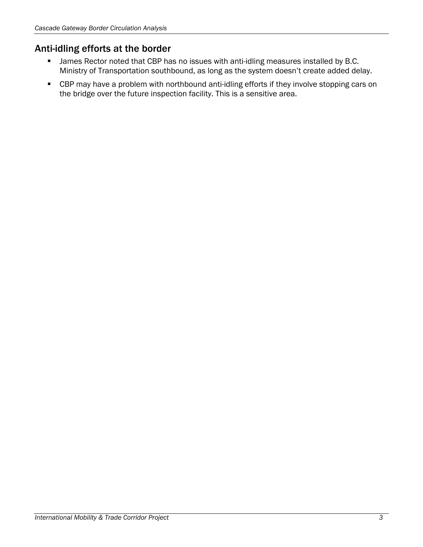# Anti-idling efforts at the border

- **James Rector noted that CBP has no issues with anti-idling measures installed by B.C.** Ministry of Transportation southbound, as long as the system doesn't create added delay.
- **EXP** may have a problem with northbound anti-idling efforts if they involve stopping cars on the bridge over the future inspection facility. This is a sensitive area.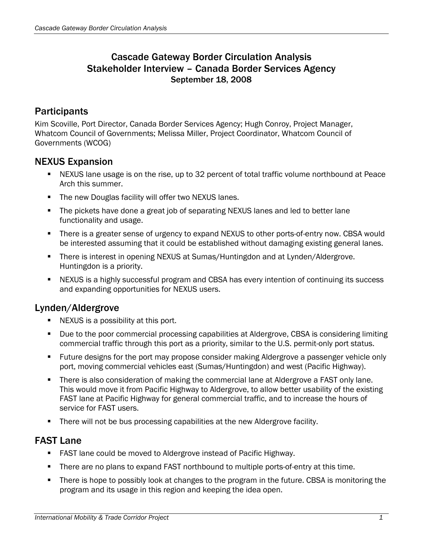## Cascade Gateway Border Circulation Analysis Stakeholder Interview – Canada Border Services Agency September 18, 2008

## **Participants**

Kim Scoville, Port Director, Canada Border Services Agency; Hugh Conroy, Project Manager, Whatcom Council of Governments; Melissa Miller, Project Coordinator, Whatcom Council of Governments (WCOG)

### NEXUS Expansion

- NEXUS lane usage is on the rise, up to 32 percent of total traffic volume northbound at Peace Arch this summer.
- The new Douglas facility will offer two NEXUS lanes.
- The pickets have done a great job of separating NEXUS lanes and led to better lane functionality and usage.
- There is a greater sense of urgency to expand NEXUS to other ports-of-entry now. CBSA would be interested assuming that it could be established without damaging existing general lanes.
- There is interest in opening NEXUS at Sumas/Huntingdon and at Lynden/Aldergrove. Huntingdon is a priority.
- NEXUS is a highly successful program and CBSA has every intention of continuing its success and expanding opportunities for NEXUS users.

### Lynden/Aldergrove

- **NEXUS** is a possibility at this port.
- Due to the poor commercial processing capabilities at Aldergrove, CBSA is considering limiting commercial traffic through this port as a priority, similar to the U.S. permit-only port status.
- **Future designs for the port may propose consider making Aldergrove a passenger vehicle only** port, moving commercial vehicles east (Sumas/Huntingdon) and west (Pacific Highway).
- There is also consideration of making the commercial lane at Aldergrove a FAST only lane. This would move it from Pacific Highway to Aldergrove, to allow better usability of the existing FAST lane at Pacific Highway for general commercial traffic, and to increase the hours of service for FAST users.
- There will not be bus processing capabilities at the new Aldergrove facility.

## FAST Lane

- **FAST lane could be moved to Aldergrove instead of Pacific Highway.**
- **There are no plans to expand FAST northbound to multiple ports-of-entry at this time.**
- **There is hope to possibly look at changes to the program in the future. CBSA is monitoring the** program and its usage in this region and keeping the idea open.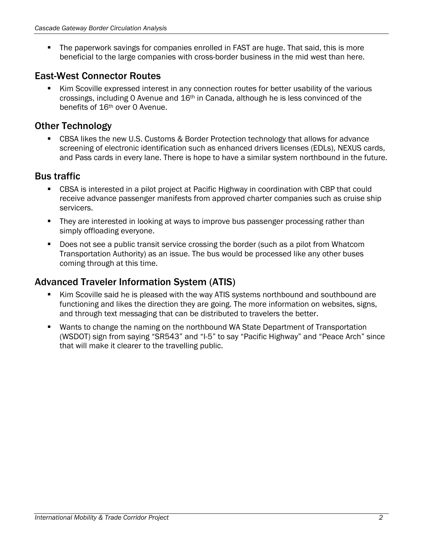The paperwork savings for companies enrolled in FAST are huge. That said, this is more beneficial to the large companies with cross-border business in the mid west than here.

## East-West Connector Routes

 Kim Scoville expressed interest in any connection routes for better usability of the various crossings, including 0 Avenue and 16th in Canada, although he is less convinced of the benefits of 16th over 0 Avenue.

# Other Technology

 CBSA likes the new U.S. Customs & Border Protection technology that allows for advance screening of electronic identification such as enhanced drivers licenses (EDLs), NEXUS cards, and Pass cards in every lane. There is hope to have a similar system northbound in the future.

## Bus traffic

- CBSA is interested in a pilot project at Pacific Highway in coordination with CBP that could receive advance passenger manifests from approved charter companies such as cruise ship servicers.
- They are interested in looking at ways to improve bus passenger processing rather than simply offloading everyone.
- Does not see a public transit service crossing the border (such as a pilot from Whatcom Transportation Authority) as an issue. The bus would be processed like any other buses coming through at this time.

# Advanced Traveler Information System (ATIS)

- Kim Scoville said he is pleased with the way ATIS systems northbound and southbound are functioning and likes the direction they are going. The more information on websites, signs, and through text messaging that can be distributed to travelers the better.
- Wants to change the naming on the northbound WA State Department of Transportation (WSDOT) sign from saying "SR543" and "I-5" to say "Pacific Highway" and "Peace Arch" since that will make it clearer to the travelling public.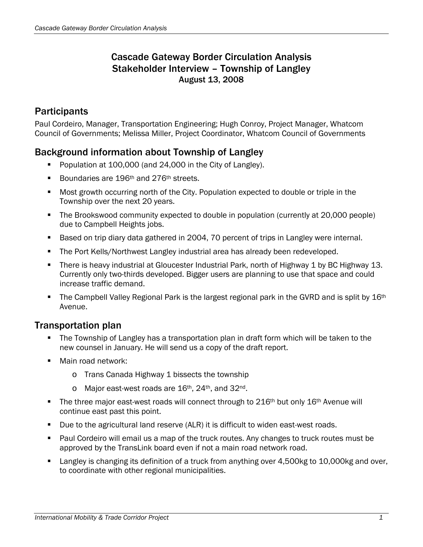## Cascade Gateway Border Circulation Analysis Stakeholder Interview – Township of Langley August 13, 2008

# **Participants**

Paul Cordeiro, Manager, Transportation Engineering; Hugh Conroy, Project Manager, Whatcom Council of Governments; Melissa Miller, Project Coordinator, Whatcom Council of Governments

## Background information about Township of Langley

- Population at 100,000 (and 24,000 in the City of Langley).
- Boundaries are 196<sup>th</sup> and 276<sup>th</sup> streets.
- Most growth occurring north of the City. Population expected to double or triple in the Township over the next 20 years.
- The Brookswood community expected to double in population (currently at 20,000 people) due to Campbell Heights jobs.
- Based on trip diary data gathered in 2004, 70 percent of trips in Langley were internal.
- The Port Kells/Northwest Langley industrial area has already been redeveloped.
- **There is heavy industrial at Gloucester Industrial Park, north of Highway 1 by BC Highway 13.** Currently only two-thirds developed. Bigger users are planning to use that space and could increase traffic demand.
- The Campbell Valley Regional Park is the largest regional park in the GVRD and is split by 16<sup>th</sup> Avenue.

### Transportation plan

- **The Township of Langley has a transportation plan in draft form which will be taken to the** new counsel in January. He will send us a copy of the draft report.
- **Main road network:** 
	- o Trans Canada Highway 1 bissects the township
	- $\circ$  Major east-west roads are 16<sup>th</sup>, 24<sup>th</sup>, and 32<sup>nd</sup>.
- The three major east-west roads will connect through to 216<sup>th</sup> but only 16<sup>th</sup> Avenue will continue east past this point.
- Due to the agricultural land reserve (ALR) it is difficult to widen east-west roads.
- Paul Cordeiro will email us a map of the truck routes. Any changes to truck routes must be approved by the TransLink board even if not a main road network road.
- Langley is changing its definition of a truck from anything over 4,500kg to 10,000kg and over, to coordinate with other regional municipalities.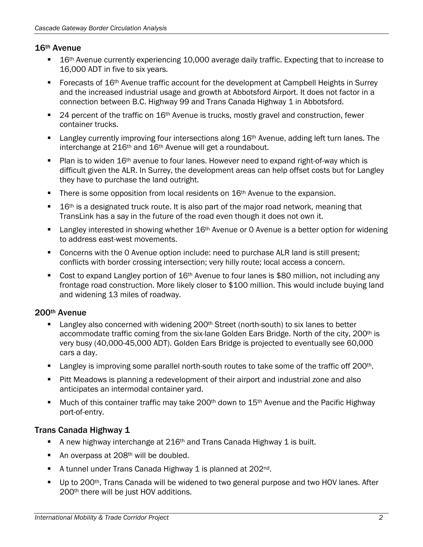#### 16th Avenue

- 16<sup>th</sup> Avenue currently experiencing 10,000 average daily traffic. Expecting that to increase to 16,000 ADT in five to six years.
- Forecasts of  $16<sup>th</sup>$  Avenue traffic account for the development at Campbell Heights in Surrey and the increased industrial usage and growth at Abbotsford Airport. It does not factor in a connection between B.C. Highway 99 and Trans Canada Highway 1 in Abbotsford.
- **24** percent of the traffic on  $16<sup>th</sup>$  Avenue is trucks, mostly gravel and construction, fewer container trucks.
- **Langley currently improving four intersections along**  $16<sup>th</sup>$  **Avenue, adding left turn lanes. The** interchange at 216<sup>th</sup> and 16<sup>th</sup> Avenue will get a roundabout.
- Plan is to widen  $16<sup>th</sup>$  avenue to four lanes. However need to expand right-of-way which is difficult given the ALR. In Surrey, the development areas can help offset costs but for Langley they have to purchase the land outright.
- **There is some opposition from local residents on 16<sup>th</sup> Avenue to the expansion.**
- $\blacksquare$  16<sup>th</sup> is a designated truck route. It is also part of the major road network, meaning that TransLink has a say in the future of the road even though it does not own it.
- Langley interested in showing whether 16<sup>th</sup> Avenue or 0 Avenue is a better option for widening to address east-west movements.
- Concerns with the 0 Avenue option include: need to purchase ALR land is still present; conflicts with border crossing intersection; very hilly route; local access a concern.
- Cost to expand Langley portion of 16<sup>th</sup> Avenue to four lanes is \$80 million, not including any frontage road construction. More likely closer to \$100 million. This would include buying land and widening 13 miles of roadway.

#### 200th Avenue

- Langley also concerned with widening 200<sup>th</sup> Street (north-south) to six lanes to better accommodate traffic coming from the six-lane Golden Ears Bridge. North of the city, 200<sup>th</sup> is very busy (40,000-45,000 ADT). Golden Ears Bridge is projected to eventually see 60,000 cars a day.
- **Langley is improving some parallel north-south routes to take some of the traffic off 200th.**
- **Pitt Meadows is planning a redevelopment of their airport and industrial zone and also** anticipates an intermodal container yard.
- **Much of this container traffic may take 200<sup>th</sup> down to 15<sup>th</sup> Avenue and the Pacific Highway** port-of-entry.

#### Trans Canada Highway 1

- A new highway interchange at  $216<sup>th</sup>$  and Trans Canada Highway 1 is built.
- An overpass at  $208<sup>th</sup>$  will be doubled.
- A tunnel under Trans Canada Highway 1 is planned at 202<sup>nd</sup>.
- Up to 200<sup>th</sup>, Trans Canada will be widened to two general purpose and two HOV lanes. After 200th there will be just HOV additions.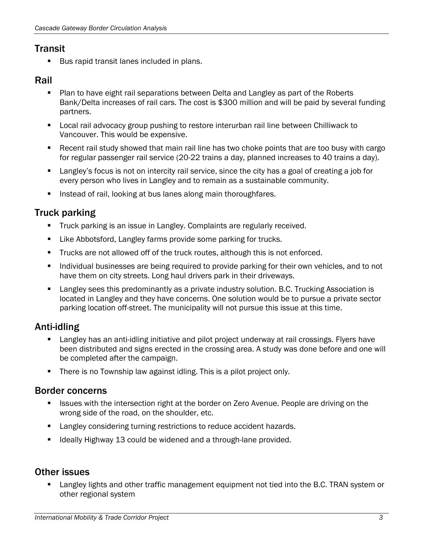## **Transit**

Bus rapid transit lanes included in plans.

### Rail

- Plan to have eight rail separations between Delta and Langley as part of the Roberts Bank/Delta increases of rail cars. The cost is \$300 million and will be paid by several funding partners.
- Local rail advocacy group pushing to restore interurban rail line between Chilliwack to Vancouver. This would be expensive.
- Recent rail study showed that main rail line has two choke points that are too busy with cargo for regular passenger rail service (20-22 trains a day, planned increases to 40 trains a day).
- Langley's focus is not on intercity rail service, since the city has a goal of creating a job for every person who lives in Langley and to remain as a sustainable community.
- **Instead of rail, looking at bus lanes along main thoroughfares.**

## Truck parking

- Truck parking is an issue in Langley. Complaints are regularly received.
- Like Abbotsford, Langley farms provide some parking for trucks.
- Trucks are not allowed off of the truck routes, although this is not enforced.
- Individual businesses are being required to provide parking for their own vehicles, and to not have them on city streets. Long haul drivers park in their driveways.
- Langley sees this predominantly as a private industry solution. B.C. Trucking Association is located in Langley and they have concerns. One solution would be to pursue a private sector parking location off-street. The municipality will not pursue this issue at this time.

## Anti-idling

- Langley has an anti-idling initiative and pilot project underway at rail crossings. Flyers have been distributed and signs erected in the crossing area. A study was done before and one will be completed after the campaign.
- **There is no Township law against idling. This is a pilot project only.**

### Border concerns

- Issues with the intersection right at the border on Zero Avenue. People are driving on the wrong side of the road, on the shoulder, etc.
- **EXECUTE:** Langley considering turning restrictions to reduce accident hazards.
- Ideally Highway 13 could be widened and a through-lane provided.

### Other issues

 Langley lights and other traffic management equipment not tied into the B.C. TRAN system or other regional system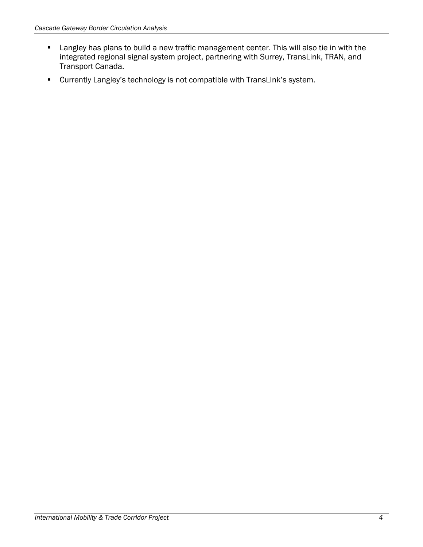- **Langley has plans to build a new traffic management center. This will also tie in with the** integrated regional signal system project, partnering with Surrey, TransLink, TRAN, and Transport Canada.
- Currently Langley's technology is not compatible with TransLInk's system.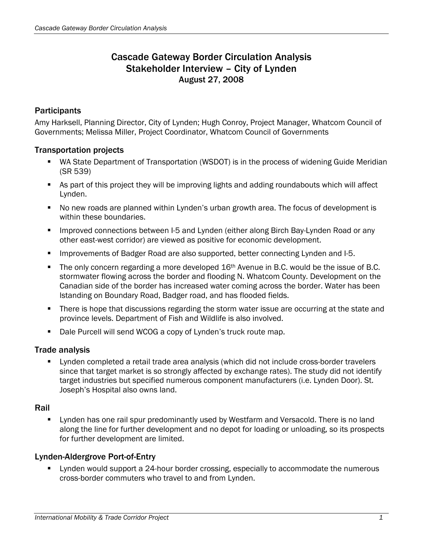## Cascade Gateway Border Circulation Analysis Stakeholder Interview – City of Lynden August 27, 2008

#### **Participants**

Amy Harksell, Planning Director, City of Lynden; Hugh Conroy, Project Manager, Whatcom Council of Governments; Melissa Miller, Project Coordinator, Whatcom Council of Governments

### Transportation projects

- WA State Department of Transportation (WSDOT) is in the process of widening Guide Meridian (SR 539)
- As part of this project they will be improving lights and adding roundabouts which will affect Lynden.
- No new roads are planned within Lynden's urban growth area. The focus of development is within these boundaries.
- **IMPROVED CONNECTIONS between I-5 and Lynden (either along Birch Bay-Lynden Road or any** other east-west corridor) are viewed as positive for economic development.
- **IMPROM** Improvements of Badger Road are also supported, better connecting Lynden and I-5.
- The only concern regarding a more developed 16<sup>th</sup> Avenue in B.C. would be the issue of B.C. stormwater flowing across the border and flooding N. Whatcom County. Development on the Canadian side of the border has increased water coming across the border. Water has been lstanding on Boundary Road, Badger road, and has flooded fields.
- **There is hope that discussions regarding the storm water issue are occurring at the state and** province levels. Department of Fish and Wildlife is also involved.
- Dale Purcell will send WCOG a copy of Lynden's truck route map.

#### Trade analysis

 Lynden completed a retail trade area analysis (which did not include cross-border travelers since that target market is so strongly affected by exchange rates). The study did not identify target industries but specified numerous component manufacturers (i.e. Lynden Door). St. Joseph's Hospital also owns land.

#### Rail

**E** Lynden has one rail spur predominantly used by Westfarm and Versacold. There is no land along the line for further development and no depot for loading or unloading, so its prospects for further development are limited.

#### Lynden-Aldergrove Port-of-Entry

**EXTER** Lynden would support a 24-hour border crossing, especially to accommodate the numerous cross-border commuters who travel to and from Lynden.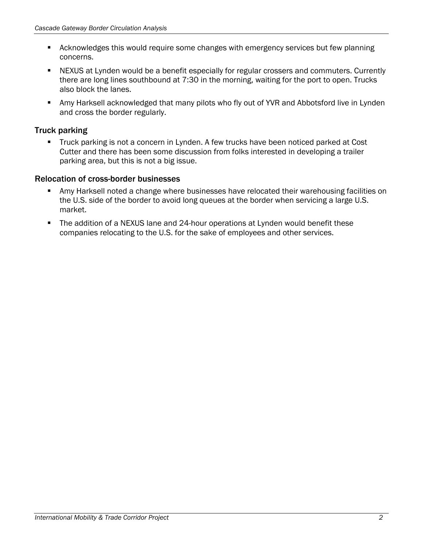- **EXECT** Acknowledges this would require some changes with emergency services but few planning concerns.
- NEXUS at Lynden would be a benefit especially for regular crossers and commuters. Currently there are long lines southbound at 7:30 in the morning, waiting for the port to open. Trucks also block the lanes.
- Amy Harksell acknowledged that many pilots who fly out of YVR and Abbotsford live in Lynden and cross the border regularly.

### Truck parking

**Truck parking is not a concern in Lynden. A few trucks have been noticed parked at Cost** Cutter and there has been some discussion from folks interested in developing a trailer parking area, but this is not a big issue.

### Relocation of cross-border businesses

- Amy Harksell noted a change where businesses have relocated their warehousing facilities on the U.S. side of the border to avoid long queues at the border when servicing a large U.S. market.
- **The addition of a NEXUS lane and 24-hour operations at Lynden would benefit these** companies relocating to the U.S. for the sake of employees and other services.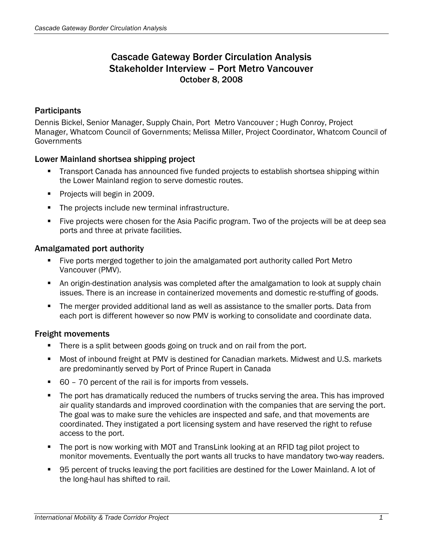## Cascade Gateway Border Circulation Analysis Stakeholder Interview – Port Metro Vancouver October 8, 2008

### **Participants**

Dennis Bickel, Senior Manager, Supply Chain, Port Metro Vancouver ; Hugh Conroy, Project Manager, Whatcom Council of Governments; Melissa Miller, Project Coordinator, Whatcom Council of **Governments** 

#### Lower Mainland shortsea shipping project

- Transport Canada has announced five funded projects to establish shortsea shipping within the Lower Mainland region to serve domestic routes.
- **Projects will begin in 2009.**
- The projects include new terminal infrastructure.
- Five projects were chosen for the Asia Pacific program. Two of the projects will be at deep sea ports and three at private facilities.

#### Amalgamated port authority

- Five ports merged together to join the amalgamated port authority called Port Metro Vancouver (PMV).
- An origin-destination analysis was completed after the amalgamation to look at supply chain issues. There is an increase in containerized movements and domestic re-stuffing of goods.
- The merger provided additional land as well as assistance to the smaller ports. Data from each port is different however so now PMV is working to consolidate and coordinate data.

#### Freight movements

- **There is a split between goods going on truck and on rail from the port.**
- Most of inbound freight at PMV is destined for Canadian markets. Midwest and U.S. markets are predominantly served by Port of Prince Rupert in Canada
- 60 70 percent of the rail is for imports from vessels.
- The port has dramatically reduced the numbers of trucks serving the area. This has improved air quality standards and improved coordination with the companies that are serving the port. The goal was to make sure the vehicles are inspected and safe, and that movements are coordinated. They instigated a port licensing system and have reserved the right to refuse access to the port.
- The port is now working with MOT and TransLink looking at an RFID tag pilot project to monitor movements. Eventually the port wants all trucks to have mandatory two-way readers.
- 95 percent of trucks leaving the port facilities are destined for the Lower Mainland. A lot of the long-haul has shifted to rail.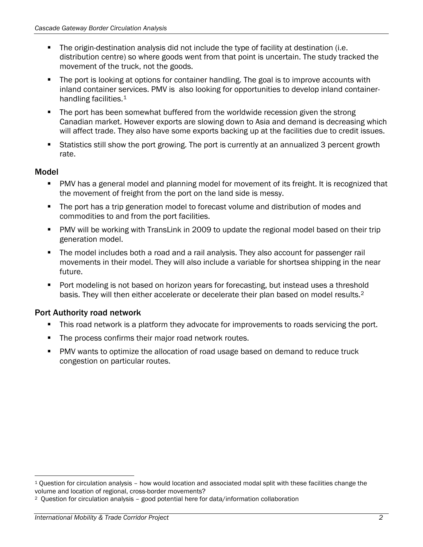- The origin-destination analysis did not include the type of facility at destination (i.e. distribution centre) so where goods went from that point is uncertain. The study tracked the movement of the truck, not the goods.
- The port is looking at options for container handling. The goal is to improve accounts with inland container services. PMV is also looking for opportunities to develop inland container-handling facilities.<sup>[1](#page-18-0)</sup>
- **The port has been somewhat buffered from the worldwide recession given the strong** Canadian market. However exports are slowing down to Asia and demand is decreasing which will affect trade. They also have some exports backing up at the facilities due to credit issues.
- Statistics still show the port growing. The port is currently at an annualized 3 percent growth rate.

### Model

 $\overline{a}$ 

- PMV has a general model and planning model for movement of its freight. It is recognized that the movement of freight from the port on the land side is messy.
- The port has a trip generation model to forecast volume and distribution of modes and commodities to and from the port facilities.
- PMV will be working with TransLink in 2009 to update the regional model based on their trip generation model.
- The model includes both a road and a rail analysis. They also account for passenger rail movements in their model. They will also include a variable for shortsea shipping in the near future.
- Port modeling is not based on horizon years for forecasting, but instead uses a threshold basis. They will then either accelerate or decelerate their plan based on model results[.2](#page-18-1)

### Port Authority road network

- This road network is a platform they advocate for improvements to roads servicing the port.
- The process confirms their major road network routes.
- PMV wants to optimize the allocation of road usage based on demand to reduce truck congestion on particular routes.

<span id="page-18-0"></span><sup>1</sup> Question for circulation analysis – how would location and associated modal split with these facilities change the volume and location of regional, cross-border movements?

<span id="page-18-1"></span><sup>2</sup> Question for circulation analysis – good potential here for data/information collaboration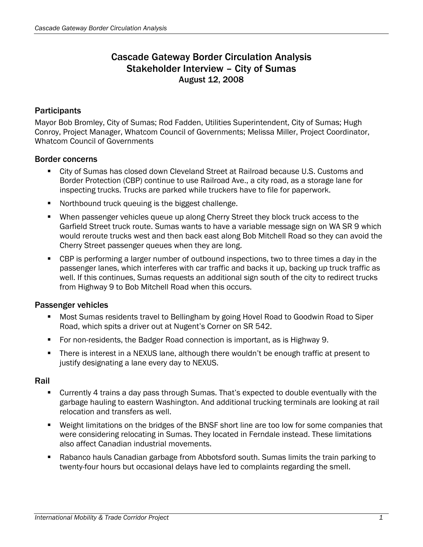## Cascade Gateway Border Circulation Analysis Stakeholder Interview – City of Sumas August 12, 2008

#### **Participants**

Mayor Bob Bromley, City of Sumas; Rod Fadden, Utilities Superintendent, City of Sumas; Hugh Conroy, Project Manager, Whatcom Council of Governments; Melissa Miller, Project Coordinator, Whatcom Council of Governments

#### Border concerns

- City of Sumas has closed down Cleveland Street at Railroad because U.S. Customs and Border Protection (CBP) continue to use Railroad Ave., a city road, as a storage lane for inspecting trucks. Trucks are parked while truckers have to file for paperwork.
- **Northbound truck queuing is the biggest challenge.**
- When passenger vehicles queue up along Cherry Street they block truck access to the Garfield Street truck route. Sumas wants to have a variable message sign on WA SR 9 which would reroute trucks west and then back east along Bob Mitchell Road so they can avoid the Cherry Street passenger queues when they are long.
- CBP is performing a larger number of outbound inspections, two to three times a day in the passenger lanes, which interferes with car traffic and backs it up, backing up truck traffic as well. If this continues, Sumas requests an additional sign south of the city to redirect trucks from Highway 9 to Bob Mitchell Road when this occurs.

#### Passenger vehicles

- Most Sumas residents travel to Bellingham by going Hovel Road to Goodwin Road to Siper Road, which spits a driver out at Nugent's Corner on SR 542.
- For non-residents, the Badger Road connection is important, as is Highway 9.
- There is interest in a NEXUS lane, although there wouldn't be enough traffic at present to justify designating a lane every day to NEXUS.

#### Rail

- Currently 4 trains a day pass through Sumas. That's expected to double eventually with the garbage hauling to eastern Washington. And additional trucking terminals are looking at rail relocation and transfers as well.
- Weight limitations on the bridges of the BNSF short line are too low for some companies that were considering relocating in Sumas. They located in Ferndale instead. These limitations also affect Canadian industrial movements.
- Rabanco hauls Canadian garbage from Abbotsford south. Sumas limits the train parking to twenty-four hours but occasional delays have led to complaints regarding the smell.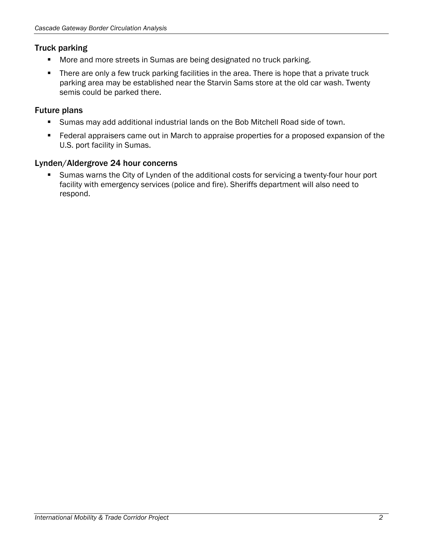### Truck parking

- **More and more streets in Sumas are being designated no truck parking.**
- **There are only a few truck parking facilities in the area. There is hope that a private truck** parking area may be established near the Starvin Sams store at the old car wash. Twenty semis could be parked there.

### Future plans

- Sumas may add additional industrial lands on the Bob Mitchell Road side of town.
- **Federal appraisers came out in March to appraise properties for a proposed expansion of the** U.S. port facility in Sumas.

### Lynden/Aldergrove 24 hour concerns

 Sumas warns the City of Lynden of the additional costs for servicing a twenty-four hour port facility with emergency services (police and fire). Sheriffs department will also need to respond.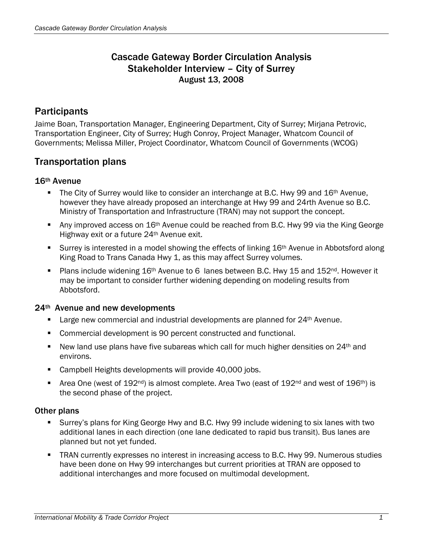## Cascade Gateway Border Circulation Analysis Stakeholder Interview – City of Surrey August 13, 2008

## **Participants**

Jaime Boan, Transportation Manager, Engineering Department, City of Surrey; Mirjana Petrovic, Transportation Engineer, City of Surrey; Hugh Conroy, Project Manager, Whatcom Council of Governments; Melissa Miller, Project Coordinator, Whatcom Council of Governments (WCOG)

## Transportation plans

#### 16th Avenue

- The City of Surrey would like to consider an interchange at B.C. Hwy 99 and 16<sup>th</sup> Avenue, however they have already proposed an interchange at Hwy 99 and 24rth Avenue so B.C. Ministry of Transportation and Infrastructure (TRAN) may not support the concept.
- Any improved access on 16<sup>th</sup> Avenue could be reached from B.C. Hwy 99 via the King George Highway exit or a future 24th Avenue exit.
- Surrey is interested in a model showing the effects of linking 16<sup>th</sup> Avenue in Abbotsford along King Road to Trans Canada Hwy 1, as this may affect Surrey volumes.
- Plans include widening  $16<sup>th</sup>$  Avenue to 6 lanes between B.C. Hwy 15 and  $152<sup>nd</sup>$ . However it may be important to consider further widening depending on modeling results from Abbotsford.

#### 24th Avenue and new developments

- **Large new commercial and industrial developments are planned for 24th Avenue.**
- Commercial development is 90 percent constructed and functional.
- New land use plans have five subareas which call for much higher densities on 24<sup>th</sup> and environs.
- **Campbell Heights developments will provide 40,000 jobs.**
- Area One (west of  $192^{\text{nd}}$ ) is almost complete. Area Two (east of  $192^{\text{nd}}$  and west of  $196^{\text{th}}$ ) is the second phase of the project.

#### Other plans

- Surrey's plans for King George Hwy and B.C. Hwy 99 include widening to six lanes with two additional lanes in each direction (one lane dedicated to rapid bus transit). Bus lanes are planned but not yet funded.
- **TRAN currently expresses no interest in increasing access to B.C. Hwy 99. Numerous studies** have been done on Hwy 99 interchanges but current priorities at TRAN are opposed to additional interchanges and more focused on multimodal development.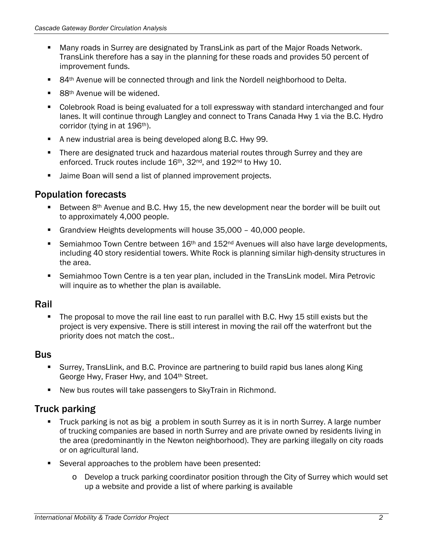- Many roads in Surrey are designated by TransLink as part of the Major Roads Network. TransLink therefore has a say in the planning for these roads and provides 50 percent of improvement funds.
- 84<sup>th</sup> Avenue will be connected through and link the Nordell neighborhood to Delta.
- 88<sup>th</sup> Avenue will be widened.
- Colebrook Road is being evaluated for a toll expressway with standard interchanged and four lanes. It will continue through Langley and connect to Trans Canada Hwy 1 via the B.C. Hydro corridor (tying in at 196<sup>th</sup>).
- A new industrial area is being developed along B.C. Hwy 99.
- There are designated truck and hazardous material routes through Surrey and they are enforced. Truck routes include 16<sup>th</sup>, 32<sup>nd</sup>, and 192<sup>nd</sup> to Hwy 10.
- Jaime Boan will send a list of planned improvement projects.

### Population forecasts

- Between 8<sup>th</sup> Avenue and B.C. Hwy 15, the new development near the border will be built out to approximately 4,000 people.
- Grandview Heights developments will house 35,000 40,000 people.
- Semiahmoo Town Centre between  $16<sup>th</sup>$  and  $152<sup>nd</sup>$  Avenues will also have large developments, including 40 story residential towers. White Rock is planning similar high-density structures in the area.
- Semiahmoo Town Centre is a ten year plan, included in the TransLink model. Mira Petrovic will inquire as to whether the plan is available.

### Rail

The proposal to move the rail line east to run parallel with B.C. Hwy 15 still exists but the project is very expensive. There is still interest in moving the rail off the waterfront but the priority does not match the cost..

### **Bus**

- Surrey, TransLlink, and B.C. Province are partnering to build rapid bus lanes along King George Hwy, Fraser Hwy, and 104th Street.
- New bus routes will take passengers to SkyTrain in Richmond.

### Truck parking

- Truck parking is not as big a problem in south Surrey as it is in north Surrey. A large number of trucking companies are based in north Surrey and are private owned by residents living in the area (predominantly in the Newton neighborhood). They are parking illegally on city roads or on agricultural land.
- **Several approaches to the problem have been presented:** 
	- o Develop a truck parking coordinator position through the City of Surrey which would set up a website and provide a list of where parking is available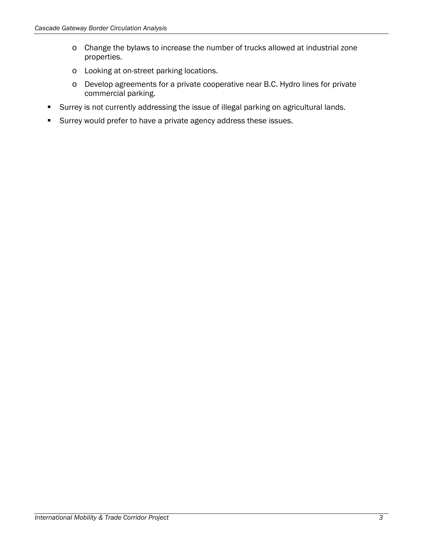- o Change the bylaws to increase the number of trucks allowed at industrial zone properties.
- o Looking at on-street parking locations.
- o Develop agreements for a private cooperative near B.C. Hydro lines for private commercial parking.
- Surrey is not currently addressing the issue of illegal parking on agricultural lands.
- Surrey would prefer to have a private agency address these issues.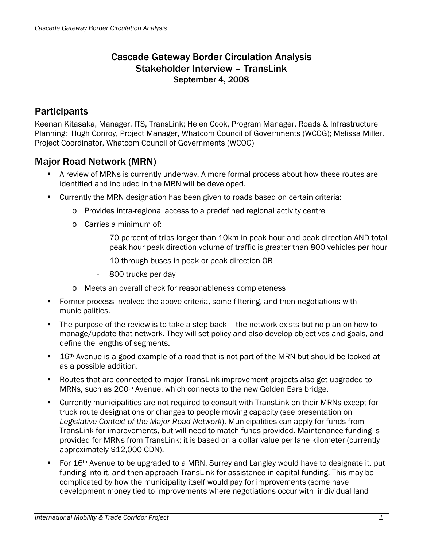### Cascade Gateway Border Circulation Analysis Stakeholder Interview – TransLink September 4, 2008

# **Participants**

Keenan Kitasaka, Manager, ITS, TransLink; Helen Cook, Program Manager, Roads & Infrastructure Planning; Hugh Conroy, Project Manager, Whatcom Council of Governments (WCOG); Melissa Miller, Project Coordinator, Whatcom Council of Governments (WCOG)

## Major Road Network (MRN)

- A review of MRNs is currently underway. A more formal process about how these routes are identified and included in the MRN will be developed.
- Currently the MRN designation has been given to roads based on certain criteria:
	- o Provides intra-regional access to a predefined regional activity centre
	- o Carries a minimum of:
		- 70 percent of trips longer than 10km in peak hour and peak direction AND total peak hour peak direction volume of traffic is greater than 800 vehicles per hour
		- 10 through buses in peak or peak direction OR
		- 800 trucks per day
	- o Meets an overall check for reasonableness completeness
- Former process involved the above criteria, some filtering, and then negotiations with municipalities.
- The purpose of the review is to take a step back the network exists but no plan on how to manage/update that network. They will set policy and also develop objectives and goals, and define the lengths of segments.
- 16<sup>th</sup> Avenue is a good example of a road that is not part of the MRN but should be looked at as a possible addition.
- Routes that are connected to major TransLink improvement projects also get upgraded to MRNs, such as 200<sup>th</sup> Avenue, which connects to the new Golden Ears bridge.
- Currently municipalities are not required to consult with TransLink on their MRNs except for truck route designations or changes to people moving capacity (see presentation on *Legislative Context of the Major Road Network*). Municipalities can apply for funds from TransLink for improvements, but will need to match funds provided. Maintenance funding is provided for MRNs from TransLink; it is based on a dollar value per lane kilometer (currently approximately \$12,000 CDN).
- For 16<sup>th</sup> Avenue to be upgraded to a MRN, Surrey and Langley would have to designate it, put funding into it, and then approach TransLink for assistance in capital funding. This may be complicated by how the municipality itself would pay for improvements (some have development money tied to improvements where negotiations occur with individual land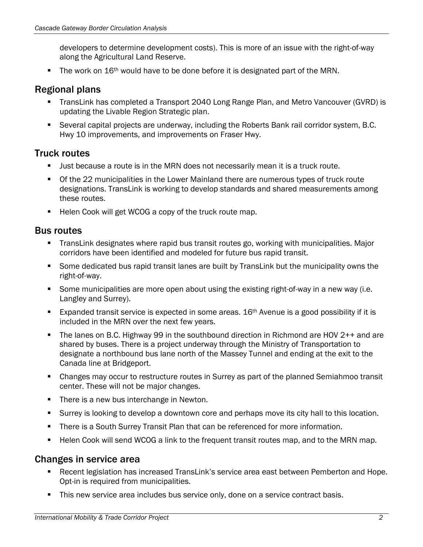developers to determine development costs). This is more of an issue with the right-of-way along the Agricultural Land Reserve.

The work on 16<sup>th</sup> would have to be done before it is designated part of the MRN.

### Regional plans

- TransLink has completed a Transport 2040 Long Range Plan, and Metro Vancouver (GVRD) is updating the Livable Region Strategic plan.
- Several capital projects are underway, including the Roberts Bank rail corridor system, B.C. Hwy 10 improvements, and improvements on Fraser Hwy.

### Truck routes

- Just because a route is in the MRN does not necessarily mean it is a truck route.
- **The 22 municipalities in the Lower Mainland there are numerous types of truck route** designations. TransLink is working to develop standards and shared measurements among these routes.
- Helen Cook will get WCOG a copy of the truck route map.

### Bus routes

- TransLink designates where rapid bus transit routes go, working with municipalities. Major corridors have been identified and modeled for future bus rapid transit.
- Some dedicated bus rapid transit lanes are built by TransLink but the municipality owns the right-of-way.
- Some municipalities are more open about using the existing right-of-way in a new way (i.e. Langley and Surrey).
- Expanded transit service is expected in some areas.  $16<sup>th</sup>$  Avenue is a good possibility if it is included in the MRN over the next few years.
- The lanes on B.C. Highway 99 in the southbound direction in Richmond are HOV 2++ and are shared by buses. There is a project underway through the Ministry of Transportation to designate a northbound bus lane north of the Massey Tunnel and ending at the exit to the Canada line at Bridgeport.
- Changes may occur to restructure routes in Surrey as part of the planned Semiahmoo transit center. These will not be major changes.
- There is a new bus interchange in Newton.
- Surrey is looking to develop a downtown core and perhaps move its city hall to this location.
- There is a South Surrey Transit Plan that can be referenced for more information.
- Helen Cook will send WCOG a link to the frequent transit routes map, and to the MRN map.

### Changes in service area

- Recent legislation has increased TransLink's service area east between Pemberton and Hope. Opt-in is required from municipalities.
- This new service area includes bus service only, done on a service contract basis.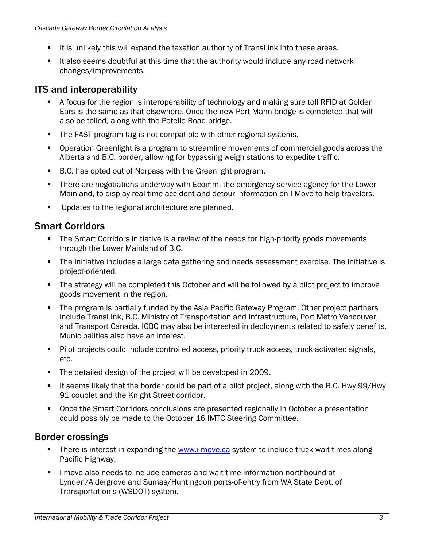- It is unlikely this will expand the taxation authority of TransLink into these areas.
- It also seems doubtful at this time that the authority would include any road network changes/improvements.

### ITS and interoperability

- A focus for the region is interoperability of technology and making sure toll RFID at Golden Ears is the same as that elsewhere. Once the new Port Mann bridge is completed that will also be tolled, along with the Potello Road bridge.
- **The FAST program tag is not compatible with other regional systems.**
- Operation Greenlight is a program to streamline movements of commercial goods across the Alberta and B.C. border, allowing for bypassing weigh stations to expedite traffic.
- B.C. has opted out of Norpass with the Greenlight program.
- There are negotiations underway with Ecomm, the emergency service agency for the Lower Mainland, to display real-time accident and detour information on I-Move to help travelers.
- **Updates to the regional architecture are planned.**

## Smart Corridors

- The Smart Corridors initiative is a review of the needs for high-priority goods movements through the Lower Mainland of B.C.
- The initiative includes a large data gathering and needs assessment exercise. The initiative is project-oriented.
- The strategy will be completed this October and will be followed by a pilot project to improve goods movement in the region.
- The program is partially funded by the Asia Pacific Gateway Program. Other project partners include TransLink, B.C. Ministry of Transportation and Infrastructure, Port Metro Vancouver, and Transport Canada. ICBC may also be interested in deployments related to safety benefits. Municipalities also have an interest.
- **Pilot projects could include controlled access, priority truck access, truck-activated signals,** etc.
- The detailed design of the project will be developed in 2009.
- It seems likely that the border could be part of a pilot project, along with the B.C. Hwy 99/Hwy 91 couplet and the Knight Street corridor.
- Once the Smart Corridors conclusions are presented regionally in October a presentation could possibly be made to the October 16 IMTC Steering Committee.

### Border crossings

- There is interest in expanding the [www.i-move.ca](http://www.i-move.ca/) system to include truck wait times along Pacific Highway.
- **I-move also needs to include cameras and wait time information northbound at** Lynden/Aldergrove and Sumas/Huntingdon ports-of-entry from WA State Dept. of Transportation's (WSDOT) system.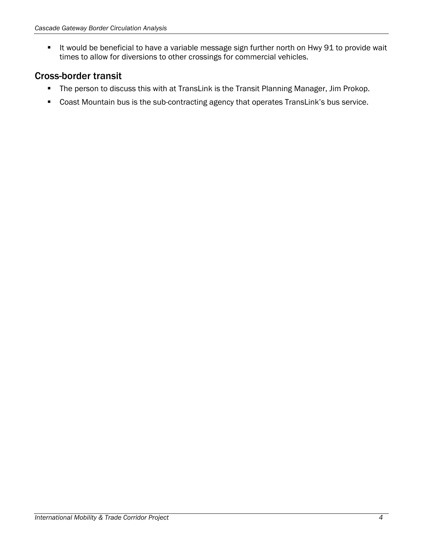**If would be beneficial to have a variable message sign further north on Hwy 91 to provide wait** times to allow for diversions to other crossings for commercial vehicles.

### Cross-border transit

- **The person to discuss this with at TransLink is the Transit Planning Manager, Jim Prokop.**
- Coast Mountain bus is the sub-contracting agency that operates TransLink's bus service.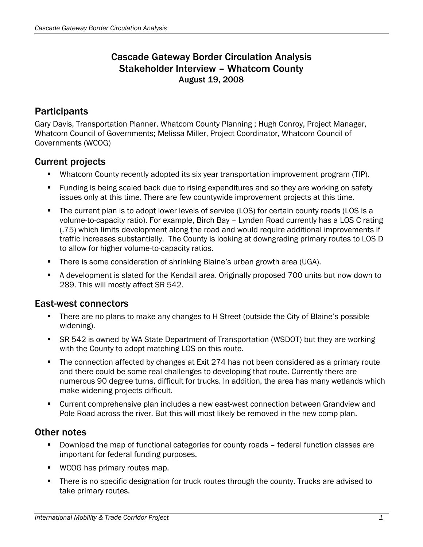## Cascade Gateway Border Circulation Analysis Stakeholder Interview – Whatcom County August 19, 2008

## **Participants**

Gary Davis, Transportation Planner, Whatcom County Planning ; Hugh Conroy, Project Manager, Whatcom Council of Governments; Melissa Miller, Project Coordinator, Whatcom Council of Governments (WCOG)

### Current projects

- Whatcom County recently adopted its six year transportation improvement program (TIP).
- Funding is being scaled back due to rising expenditures and so they are working on safety issues only at this time. There are few countywide improvement projects at this time.
- The current plan is to adopt lower levels of service (LOS) for certain county roads (LOS is a volume-to-capacity ratio). For example, Birch Bay – Lynden Road currently has a LOS C rating (.75) which limits development along the road and would require additional improvements if traffic increases substantially. The County is looking at downgrading primary routes to LOS D to allow for higher volume-to-capacity ratios.
- There is some consideration of shrinking Blaine's urban growth area (UGA).
- A development is slated for the Kendall area. Originally proposed 700 units but now down to 289. This will mostly affect SR 542.

### East-west connectors

- There are no plans to make any changes to H Street (outside the City of Blaine's possible widening).
- SR 542 is owned by WA State Department of Transportation (WSDOT) but they are working with the County to adopt matching LOS on this route.
- The connection affected by changes at Exit 274 has not been considered as a primary route and there could be some real challenges to developing that route. Currently there are numerous 90 degree turns, difficult for trucks. In addition, the area has many wetlands which make widening projects difficult.
- Current comprehensive plan includes a new east-west connection between Grandview and Pole Road across the river. But this will most likely be removed in the new comp plan.

### Other notes

- Download the map of functional categories for county roads federal function classes are important for federal funding purposes.
- **WCOG** has primary routes map.
- There is no specific designation for truck routes through the county. Trucks are advised to take primary routes.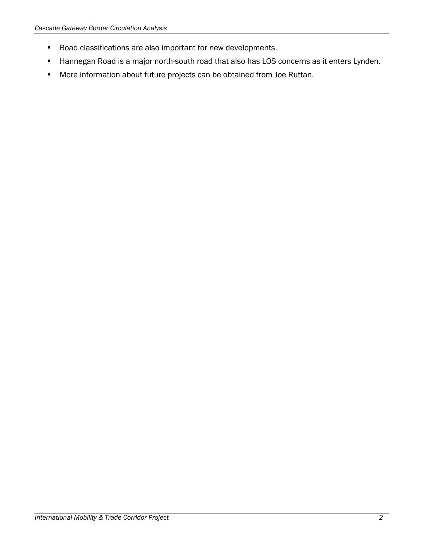- Road classifications are also important for new developments.
- **Hannegan Road is a major north-south road that also has LOS concerns as it enters Lynden.**
- More information about future projects can be obtained from Joe Ruttan.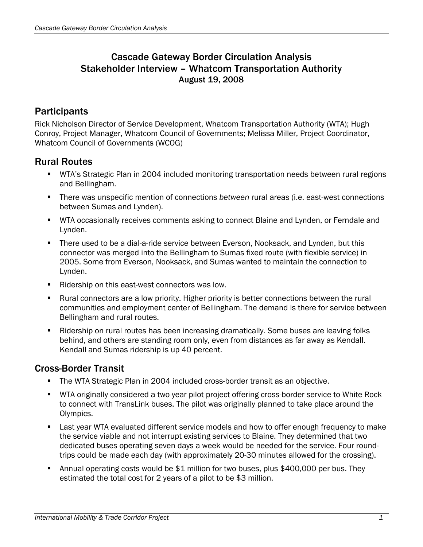## Cascade Gateway Border Circulation Analysis Stakeholder Interview – Whatcom Transportation Authority August 19, 2008

## **Participants**

Rick Nicholson Director of Service Development, Whatcom Transportation Authority (WTA); Hugh Conroy, Project Manager, Whatcom Council of Governments; Melissa Miller, Project Coordinator, Whatcom Council of Governments (WCOG)

## Rural Routes

- WTA's Strategic Plan in 2004 included monitoring transportation needs between rural regions and Bellingham.
- There was unspecific mention of connections *between* rural areas (i.e. east-west connections between Sumas and Lynden).
- **WTA occasionally receives comments asking to connect Blaine and Lynden, or Ferndale and** Lynden.
- **There used to be a dial-a-ride service between Everson, Nooksack, and Lynden, but this** connector was merged into the Bellingham to Sumas fixed route (with flexible service) in 2005. Some from Everson, Nooksack, and Sumas wanted to maintain the connection to Lynden.
- Ridership on this east-west connectors was low.
- Rural connectors are a low priority. Higher priority is better connections between the rural communities and employment center of Bellingham. The demand is there for service between Bellingham and rural routes.
- **Ridership on rural routes has been increasing dramatically. Some buses are leaving folks** behind, and others are standing room only, even from distances as far away as Kendall. Kendall and Sumas ridership is up 40 percent.

### Cross-Border Transit

- The WTA Strategic Plan in 2004 included cross-border transit as an objective.
- **WTA originally considered a two year pilot project offering cross-border service to White Rock** to connect with TransLink buses. The pilot was originally planned to take place around the Olympics.
- **EXECT** Last year WTA evaluated different service models and how to offer enough frequency to make the service viable and not interrupt existing services to Blaine. They determined that two dedicated buses operating seven days a week would be needed for the service. Four roundtrips could be made each day (with approximately 20-30 minutes allowed for the crossing).
- Annual operating costs would be \$1 million for two buses, plus \$400,000 per bus. They estimated the total cost for 2 years of a pilot to be \$3 million.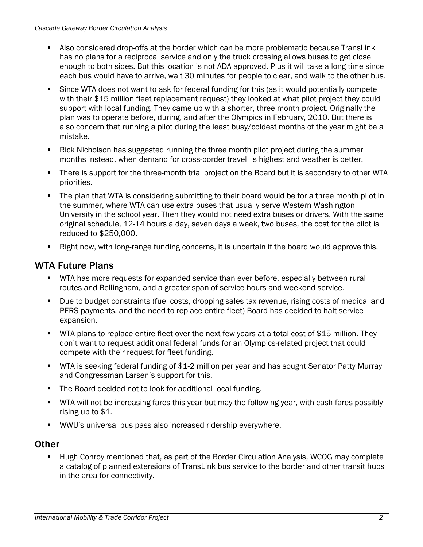- Also considered drop-offs at the border which can be more problematic because TransLink has no plans for a reciprocal service and only the truck crossing allows buses to get close enough to both sides. But this location is not ADA approved. Plus it will take a long time since each bus would have to arrive, wait 30 minutes for people to clear, and walk to the other bus.
- Since WTA does not want to ask for federal funding for this (as it would potentially compete with their \$15 million fleet replacement request) they looked at what pilot project they could support with local funding. They came up with a shorter, three month project. Originally the plan was to operate before, during, and after the Olympics in February, 2010. But there is also concern that running a pilot during the least busy/coldest months of the year might be a mistake.
- Rick Nicholson has suggested running the three month pilot project during the summer months instead, when demand for cross-border travel is highest and weather is better.
- There is support for the three-month trial project on the Board but it is secondary to other WTA priorities.
- The plan that WTA is considering submitting to their board would be for a three month pilot in the summer, where WTA can use extra buses that usually serve Western Washington University in the school year. Then they would not need extra buses or drivers. With the same original schedule, 12-14 hours a day, seven days a week, two buses, the cost for the pilot is reduced to \$250,000.
- Right now, with long-range funding concerns, it is uncertain if the board would approve this.

## WTA Future Plans

- WTA has more requests for expanded service than ever before, especially between rural routes and Bellingham, and a greater span of service hours and weekend service.
- Due to budget constraints (fuel costs, dropping sales tax revenue, rising costs of medical and PERS payments, and the need to replace entire fleet) Board has decided to halt service expansion.
- WTA plans to replace entire fleet over the next few years at a total cost of \$15 million. They don't want to request additional federal funds for an Olympics-related project that could compete with their request for fleet funding.
- WTA is seeking federal funding of \$1-2 million per year and has sought Senator Patty Murray and Congressman Larsen's support for this.
- The Board decided not to look for additional local funding.
- WTA will not be increasing fares this year but may the following year, with cash fares possibly rising up to \$1.
- WWU's universal bus pass also increased ridership everywhere.

## **Other**

 Hugh Conroy mentioned that, as part of the Border Circulation Analysis, WCOG may complete a catalog of planned extensions of TransLink bus service to the border and other transit hubs in the area for connectivity.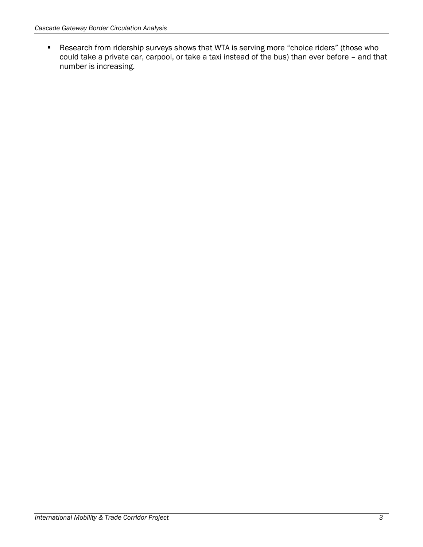Research from ridership surveys shows that WTA is serving more "choice riders" (those who could take a private car, carpool, or take a taxi instead of the bus) than ever before – and that number is increasing.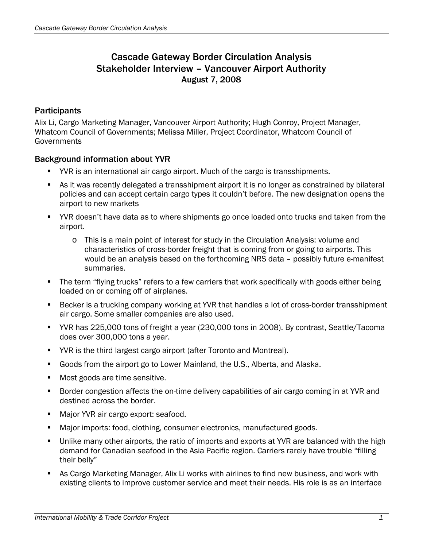## Cascade Gateway Border Circulation Analysis Stakeholder Interview – Vancouver Airport Authority August 7, 2008

#### **Participants**

Alix Li, Cargo Marketing Manager, Vancouver Airport Authority; Hugh Conroy, Project Manager, Whatcom Council of Governments; Melissa Miller, Project Coordinator, Whatcom Council of **Governments** 

#### Background information about YVR

- YVR is an international air cargo airport. Much of the cargo is transshipments.
- As it was recently delegated a transshipment airport it is no longer as constrained by bilateral policies and can accept certain cargo types it couldn't before. The new designation opens the airport to new markets
- YVR doesn't have data as to where shipments go once loaded onto trucks and taken from the airport.
	- o This is a main point of interest for study in the Circulation Analysis: volume and characteristics of cross-border freight that is coming from or going to airports. This would be an analysis based on the forthcoming NRS data – possibly future e-manifest summaries.
- The term "flying trucks" refers to a few carriers that work specifically with goods either being loaded on or coming off of airplanes.
- Becker is a trucking company working at YVR that handles a lot of cross-border transshipment air cargo. Some smaller companies are also used.
- YVR has 225,000 tons of freight a year (230,000 tons in 2008). By contrast, Seattle/Tacoma does over 300,000 tons a year.
- YVR is the third largest cargo airport (after Toronto and Montreal).
- Goods from the airport go to Lower Mainland, the U.S., Alberta, and Alaska.
- **Most goods are time sensitive.**
- **Border congestion affects the on-time delivery capabilities of air cargo coming in at YVR and** destined across the border.
- Major YVR air cargo export: seafood.
- Major imports: food, clothing, consumer electronics, manufactured goods.
- Unlike many other airports, the ratio of imports and exports at YVR are balanced with the high demand for Canadian seafood in the Asia Pacific region. Carriers rarely have trouble "filling their belly"
- As Cargo Marketing Manager, Alix Li works with airlines to find new business, and work with existing clients to improve customer service and meet their needs. His role is as an interface